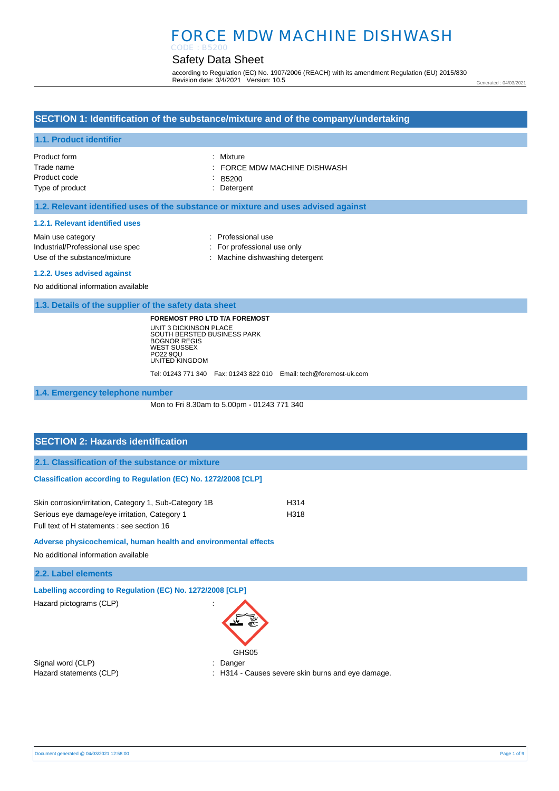#### Safety Data Sheet CODE : B5200

according to Regulation (EC) No. 1907/2006 (REACH) with its amendment Regulation (EU) 2015/830 Revision date: 3/4/2021 Version: 10.5

Generated : 04/03/2021

### **SECTION 1: Identification of the substance/mixture and of the company/undertaking**

### **1.1. Product identifier**

| Product form    | : Mixture                  |
|-----------------|----------------------------|
| Trade name      | FORCE MDW MACHINE DISHWASH |
| Product code    | : B5200                    |
| Type of product | : Detergent                |

### **1.2. Relevant identified uses of the substance or mixture and uses advised against**

#### **1.2.1. Relevant identified uses**

| Main use category                | : Professional use              |
|----------------------------------|---------------------------------|
| Industrial/Professional use spec | : For professional use only     |
| Use of the substance/mixture     | : Machine dishwashing detergent |
| 1.2.2. Uses advised against      |                                 |

No additional information available

**1.3. Details of the supplier of the safety data sheet**

**FOREMOST PRO LTD T/A FOREMOST** UNIT 3 DICKINSON PLACE SOUTH BERSTED BUSINESS PARK BOGNOR REGIS WEST SUSSEX PO22 9QU UNITED KINGDOM

Tel: 01243 771 340 Fax: 01243 822 010 Email: tech@foremost-uk.com

**1.4. Emergency telephone number**

Mon to Fri 8.30am to 5.00pm - 01243 771 340

# **SECTION 2: Hazards identification 2.1. Classification of the substance or mixture Classification according to Regulation (EC) No. 1272/2008 [CLP]** Skin corrosion/irritation, Category 1, Sub-Category 1B H314

Serious eye damage/eye irritation, Category 1 H318 Full text of H statements : see section 16

**Adverse physicochemical, human health and environmental effects** 

No additional information available

**2.2. Label elements**

**Labelling according to Regulation (EC) No. 1272/2008 [CLP]** 

Hazard pictograms (CLP) :



Signal word (CLP)  $\qquad \qquad$ : Danger

Hazard statements (CLP) : H314 - Causes severe skin burns and eye damage.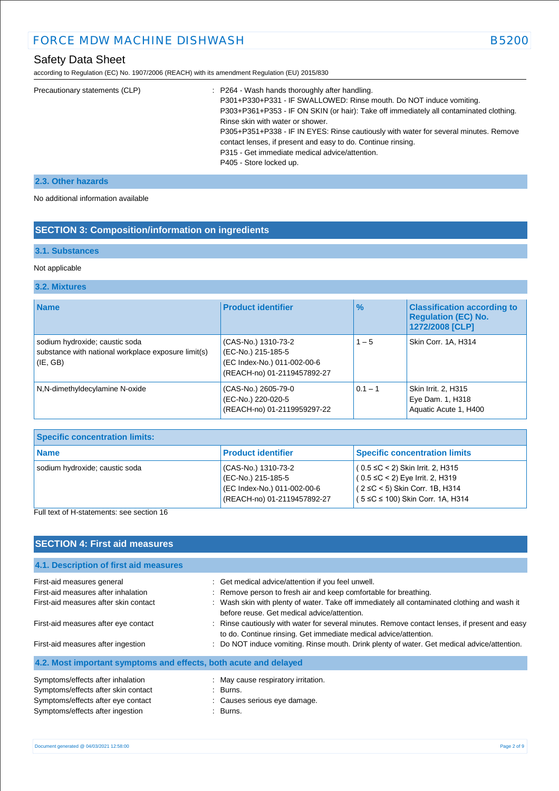### Safety Data Sheet

according to Regulation (EC) No. 1907/2006 (REACH) with its amendment Regulation (EU) 2015/830

|  | Precautionary statements (CLP) | : P264 - Wash hands thoroughly after handling.<br>P301+P330+P331 - IF SWALLOWED: Rinse mouth. Do NOT induce vomiting.<br>P303+P361+P353 - IF ON SKIN (or hair): Take off immediately all contaminated clothing.<br>Rinse skin with water or shower.<br>P305+P351+P338 - IF IN EYES: Rinse cautiously with water for several minutes. Remove<br>contact lenses, if present and easy to do. Continue rinsing.<br>P315 - Get immediate medical advice/attention.<br>P405 - Store locked up. |
|--|--------------------------------|------------------------------------------------------------------------------------------------------------------------------------------------------------------------------------------------------------------------------------------------------------------------------------------------------------------------------------------------------------------------------------------------------------------------------------------------------------------------------------------|
|--|--------------------------------|------------------------------------------------------------------------------------------------------------------------------------------------------------------------------------------------------------------------------------------------------------------------------------------------------------------------------------------------------------------------------------------------------------------------------------------------------------------------------------------|

### **2.3. Other hazards**

No additional information available

### **SECTION 3: Composition/information on ingredients**

### **3.1. Substances**

### Not applicable

### **3.2. Mixtures**

| <b>Name</b>                                                                                       | <b>Product identifier</b>                                                                               | $\%$      | <b>Classification according to</b><br><b>Regulation (EC) No.</b><br>1272/2008 [CLP] |
|---------------------------------------------------------------------------------------------------|---------------------------------------------------------------------------------------------------------|-----------|-------------------------------------------------------------------------------------|
| sodium hydroxide; caustic soda<br>substance with national workplace exposure limit(s)<br>(IE, GB) | (CAS-No.) 1310-73-2<br>(EC-No.) 215-185-5<br>(EC Index-No.) 011-002-00-6<br>(REACH-no) 01-2119457892-27 | $1 - 5$   | Skin Corr. 1A, H314                                                                 |
| N,N-dimethyldecylamine N-oxide                                                                    | (CAS-No.) 2605-79-0<br>(EC-No.) 220-020-5<br>(REACH-no) 01-2119959297-22                                | $0.1 - 1$ | Skin Irrit. 2, H315<br>Eye Dam. 1, H318<br>Aquatic Acute 1, H400                    |

| <b>Specific concentration limits:</b> |                                                                                                         |                                                                                                                                                             |
|---------------------------------------|---------------------------------------------------------------------------------------------------------|-------------------------------------------------------------------------------------------------------------------------------------------------------------|
| l Name                                | <b>Product identifier</b>                                                                               | <b>Specific concentration limits</b>                                                                                                                        |
| sodium hydroxide; caustic soda        | (CAS-No.) 1310-73-2<br>(EC-No.) 215-185-5<br>(EC Index-No.) 011-002-00-6<br>(REACH-no) 01-2119457892-27 | $(0.5 \leq C < 2)$ Skin Irrit. 2, H315<br>$(0.5 \leq C < 2)$ Eye Irrit. 2, H319<br>$(2 ≤ C < 5)$ Skin Corr. 1B, H314<br>$(5 ≤ C ≤ 100)$ Skin Corr. 1A, H314 |

### Full text of H-statements: see section 16

| <b>SECTION 4: First aid measures</b>                             |                                                                                                                                                                   |
|------------------------------------------------------------------|-------------------------------------------------------------------------------------------------------------------------------------------------------------------|
| 4.1. Description of first aid measures                           |                                                                                                                                                                   |
| First-aid measures general                                       | : Get medical advice/attention if you feel unwell.                                                                                                                |
| First-aid measures after inhalation                              | : Remove person to fresh air and keep comfortable for breathing.                                                                                                  |
| First-aid measures after skin contact                            | : Wash skin with plenty of water. Take off immediately all contaminated clothing and wash it<br>before reuse. Get medical advice/attention.                       |
| First-aid measures after eye contact                             | : Rinse cautiously with water for several minutes. Remove contact lenses, if present and easy<br>to do. Continue rinsing. Get immediate medical advice/attention. |
| First-aid measures after ingestion                               | Do NOT induce vomiting. Rinse mouth. Drink plenty of water. Get medical advice/attention.                                                                         |
| 4.2. Most important symptoms and effects, both acute and delayed |                                                                                                                                                                   |
| Symptoms/effects after inhalation                                | : May cause respiratory irritation.                                                                                                                               |
| Symptoms/effects after skin contact                              | : Burns.                                                                                                                                                          |
| Symptoms/effects after eye contact                               | : Causes serious eye damage.                                                                                                                                      |
| Symptoms/effects after ingestion                                 | : Burns.                                                                                                                                                          |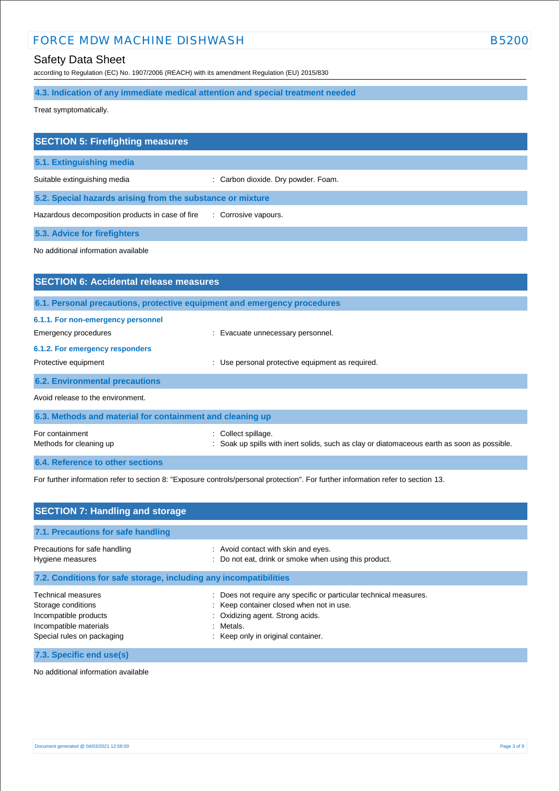### Safety Data Sheet

according to Regulation (EC) No. 1907/2006 (REACH) with its amendment Regulation (EU) 2015/830

**4.3. Indication of any immediate medical attention and special treatment needed**

Treat symptomatically.

| <b>SECTION 5: Firefighting measures</b>                    |                                     |  |
|------------------------------------------------------------|-------------------------------------|--|
| 5.1. Extinguishing media                                   |                                     |  |
| Suitable extinguishing media                               | : Carbon dioxide. Dry powder. Foam. |  |
| 5.2. Special hazards arising from the substance or mixture |                                     |  |
| Hazardous decomposition products in case of fire           | : Corrosive vapours.                |  |
| <b>5.3. Advice for firefighters</b>                        |                                     |  |

No additional information available

| <b>SECTION 6: Accidental release measures</b>             |                                                                                                                |
|-----------------------------------------------------------|----------------------------------------------------------------------------------------------------------------|
|                                                           | 6.1. Personal precautions, protective equipment and emergency procedures                                       |
| 6.1.1. For non-emergency personnel                        |                                                                                                                |
| Emergency procedures                                      | : Evacuate unnecessary personnel.                                                                              |
| 6.1.2. For emergency responders                           |                                                                                                                |
| Protective equipment                                      | Use personal protective equipment as required.                                                                 |
| <b>6.2. Environmental precautions</b>                     |                                                                                                                |
| Avoid release to the environment.                         |                                                                                                                |
| 6.3. Methods and material for containment and cleaning up |                                                                                                                |
| For containment<br>Methods for cleaning up                | Collect spillage.<br>Soak up spills with inert solids, such as clay or diatomaceous earth as soon as possible. |
|                                                           |                                                                                                                |
| 6.4. Reference to other sections                          |                                                                                                                |

For further information refer to section 8: "Exposure controls/personal protection". For further information refer to section 13.

| <b>SECTION 7: Handling and storage</b>                                                                                    |                                                                                                                                                                                                           |
|---------------------------------------------------------------------------------------------------------------------------|-----------------------------------------------------------------------------------------------------------------------------------------------------------------------------------------------------------|
| 7.1. Precautions for safe handling                                                                                        |                                                                                                                                                                                                           |
| Precautions for safe handling<br>Hygiene measures                                                                         | : Avoid contact with skin and eyes.<br>: Do not eat, drink or smoke when using this product.                                                                                                              |
| 7.2. Conditions for safe storage, including any incompatibilities                                                         |                                                                                                                                                                                                           |
| Technical measures<br>Storage conditions<br>Incompatible products<br>Incompatible materials<br>Special rules on packaging | : Does not require any specific or particular technical measures.<br>: Keep container closed when not in use.<br>Oxidizing agent. Strong acids.<br>÷.<br>Metals.<br>÷<br>Keep only in original container. |
| 7.3. Specific end use(s)                                                                                                  |                                                                                                                                                                                                           |

No additional information available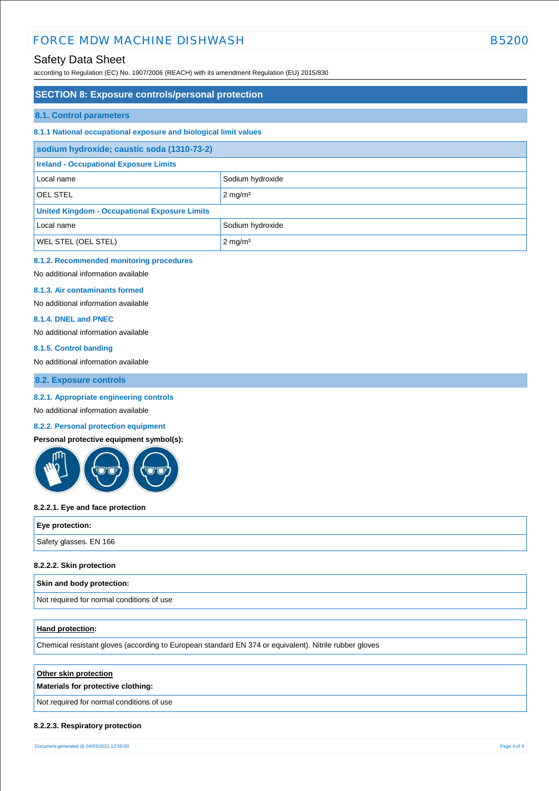### Safety Data Sheet

according to Regulation (EC) No. 1907/2006 (REACH) with its amendment Regulation (EU) 2015/830

### **SECTION 8: Exposure controls/personal protection**

#### **8.1. Control parameters**

### **8.1.1 National occupational exposure and biological limit values**

| sodium hydroxide; caustic soda (1310-73-2)           |                    |  |
|------------------------------------------------------|--------------------|--|
| <b>Ireland - Occupational Exposure Limits</b>        |                    |  |
| Local name                                           | Sodium hydroxide   |  |
| <b>OEL STEL</b>                                      | $2 \text{ mg/m}^3$ |  |
| <b>United Kingdom - Occupational Exposure Limits</b> |                    |  |
| Local name                                           | Sodium hydroxide   |  |
| <b>WEL STEL (OEL STEL)</b>                           | $2 \text{ mg/m}^3$ |  |

### **8.1.2. Recommended monitoring procedures**

No additional information available

#### **8.1.3. Air contaminants formed**

No additional information available

#### **8.1.4. DNEL and PNEC**

No additional information available

#### **8.1.5. Control banding**

No additional information available

**8.2. Exposure controls**

#### **8.2.1. Appropriate engineering controls**

No additional information available

### **8.2.2. Personal protection equipment**

**Personal protective equipment symbol(s):**



#### **8.2.2.1. Eye and face protection**

| Eye protection:        |  |
|------------------------|--|
| Safety glasses. EN 166 |  |
|                        |  |

### **8.2.2.2. Skin protection**

#### **Skin and body protection:**

Not required for normal conditions of use

#### **Hand protection:**

Chemical resistant gloves (according to European standard EN 374 or equivalent). Nitrile rubber gloves

#### **Other skin protection**

#### **Materials for protective clothing:**

Not required for normal conditions of use

### **8.2.2.3. Respiratory protection**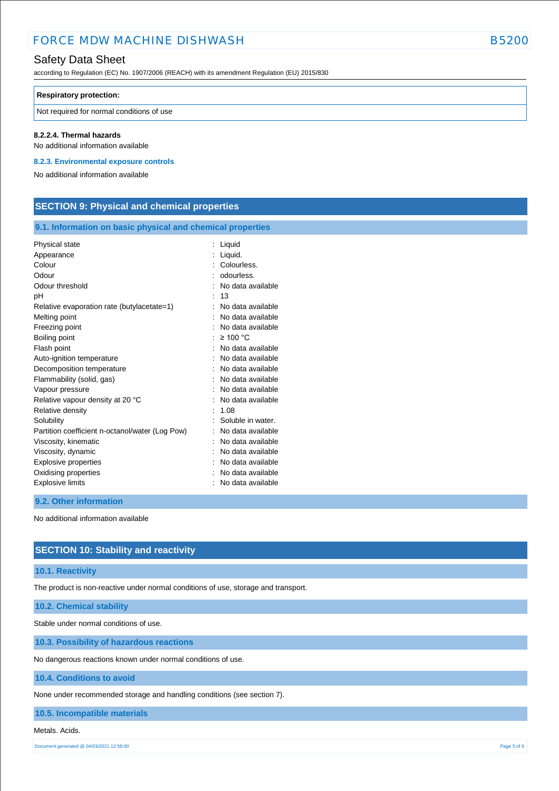### Safety Data Sheet

according to Regulation (EC) No. 1907/2006 (REACH) with its amendment Regulation (EU) 2015/830

#### **Respiratory protection:**

Not required for normal conditions of use

#### **8.2.2.4. Thermal hazards**

No additional information available

**8.2.3. Environmental exposure controls** 

No additional information available

### **SECTION 9: Physical and chemical properties**

### **9.1. Information on basic physical and chemical properties**

| Physical state                                  | Liquid            |
|-------------------------------------------------|-------------------|
| Appearance                                      | Liquid.           |
| Colour                                          | Colourless.       |
| Odour                                           | odourless.        |
| Odour threshold                                 | No data available |
| рH                                              | 13                |
| Relative evaporation rate (butylacetate=1)      | No data available |
| Melting point                                   | No data available |
| Freezing point                                  | No data available |
| Boiling point                                   | $\geq$ 100 °C     |
| Flash point                                     | No data available |
| Auto-ignition temperature                       | No data available |
| Decomposition temperature                       | No data available |
| Flammability (solid, gas)                       | No data available |
| Vapour pressure                                 | No data available |
| Relative vapour density at 20 °C                | No data available |
| Relative density                                | 1.08              |
| Solubility                                      | Soluble in water. |
| Partition coefficient n-octanol/water (Log Pow) | No data available |
| Viscosity, kinematic                            | No data available |
| Viscosity, dynamic                              | No data available |
| Explosive properties                            | No data available |
| Oxidising properties                            | No data available |
| <b>Explosive limits</b>                         | No data available |
|                                                 |                   |

#### **9.2. Other information**

No additional information available

### **SECTION 10: Stability and reactivity**

#### **10.1. Reactivity**

The product is non-reactive under normal conditions of use, storage and transport.

### **10.2. Chemical stability**

Stable under normal conditions of use.

**10.3. Possibility of hazardous reactions**

No dangerous reactions known under normal conditions of use.

### **10.4. Conditions to avoid**

None under recommended storage and handling conditions (see section 7).

### **10.5. Incompatible materials**

#### Metals. Acids.

Document generated @ 04/03/2021 12:58:00 Page 5 of 9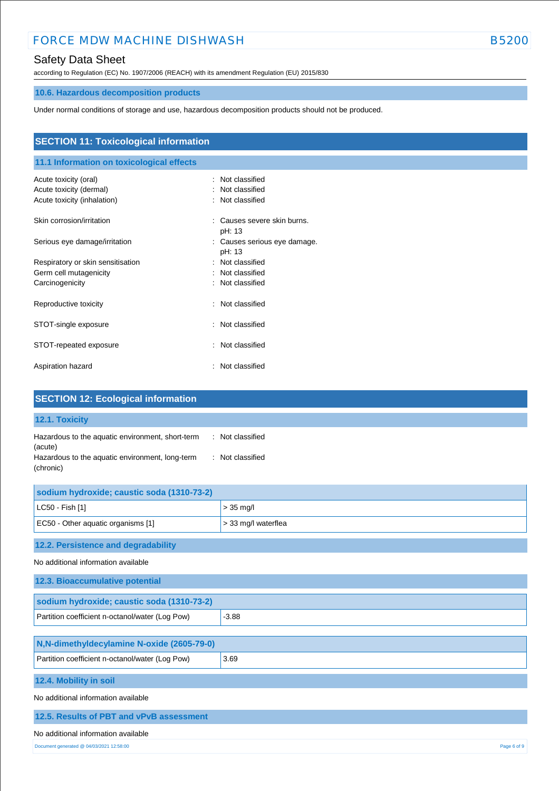### Safety Data Sheet

according to Regulation (EC) No. 1907/2006 (REACH) with its amendment Regulation (EU) 2015/830

## **10.6. Hazardous decomposition products**

Under normal conditions of storage and use, hazardous decomposition products should not be produced.

| <b>SECTION 11: Toxicological information</b><br>11.1 Information on toxicological effects |                                                              |  |  |  |
|-------------------------------------------------------------------------------------------|--------------------------------------------------------------|--|--|--|
|                                                                                           |                                                              |  |  |  |
| Acute toxicity (dermal)                                                                   | Not classified                                               |  |  |  |
| Acute toxicity (inhalation)                                                               | : Not classified                                             |  |  |  |
| Skin corrosion/irritation                                                                 | Causes severe skin burns.<br>÷<br>pH: 13                     |  |  |  |
| Serious eye damage/irritation                                                             | Causes serious eye damage.<br>$\ddot{\phantom{a}}$<br>pH: 13 |  |  |  |
| Respiratory or skin sensitisation                                                         | : Not classified                                             |  |  |  |
| Germ cell mutagenicity                                                                    | : Not classified                                             |  |  |  |
| Carcinogenicity                                                                           | : Not classified                                             |  |  |  |
| Reproductive toxicity                                                                     | Not classified<br>÷                                          |  |  |  |
| STOT-single exposure                                                                      | : Not classified                                             |  |  |  |
| STOT-repeated exposure                                                                    | Not classified<br>÷                                          |  |  |  |
| Aspiration hazard                                                                         | : Not classified                                             |  |  |  |

| <b>SECTION 12: Ecological information</b>                                                                                                                           |                     |  |  |
|---------------------------------------------------------------------------------------------------------------------------------------------------------------------|---------------------|--|--|
| 12.1. Toxicity                                                                                                                                                      |                     |  |  |
| Hazardous to the aquatic environment, short-term<br>: Not classified<br>(acute)<br>Hazardous to the aquatic environment, long-term<br>: Not classified<br>(chronic) |                     |  |  |
| sodium hydroxide; caustic soda (1310-73-2)                                                                                                                          |                     |  |  |
| LC50 - Fish [1]                                                                                                                                                     | $> 35$ mg/l         |  |  |
| EC50 - Other aquatic organisms [1]                                                                                                                                  | > 33 mg/l waterflea |  |  |
| 12.2. Persistence and degradability<br>No additional information available                                                                                          |                     |  |  |
| 12.3. Bioaccumulative potential                                                                                                                                     |                     |  |  |
| sodium hydroxide; caustic soda (1310-73-2)                                                                                                                          |                     |  |  |
| Partition coefficient n-octanol/water (Log Pow)                                                                                                                     | $-3.88$             |  |  |
| N,N-dimethyldecylamine N-oxide (2605-79-0)<br>Partition coefficient n-octanol/water (Log Pow)                                                                       | 3.69                |  |  |
|                                                                                                                                                                     |                     |  |  |
| 12.4. Mobility in soil                                                                                                                                              |                     |  |  |
| No additional information available                                                                                                                                 |                     |  |  |
| 12.5. Results of PBT and vPvB assessment                                                                                                                            |                     |  |  |
| No additional information available                                                                                                                                 |                     |  |  |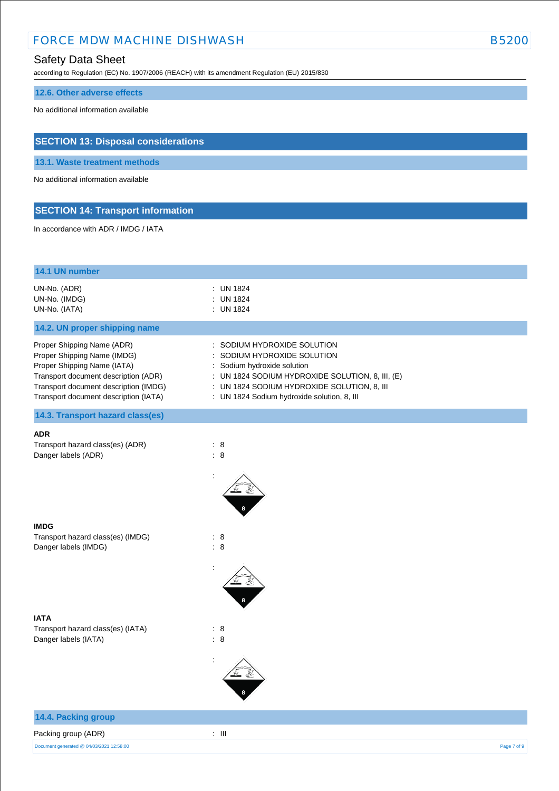### Safety Data Sheet

according to Regulation (EC) No. 1907/2006 (REACH) with its amendment Regulation (EU) 2015/830

### **12.6. Other adverse effects**

No additional information available

### **SECTION 13: Disposal considerations**

**13.1. Waste treatment methods**

No additional information available

### **SECTION 14: Transport information**

In accordance with ADR / IMDG / IATA

| 14.1 UN number                                                                                                                                                                                                     |                                                                                                                                                                                                                                       |             |
|--------------------------------------------------------------------------------------------------------------------------------------------------------------------------------------------------------------------|---------------------------------------------------------------------------------------------------------------------------------------------------------------------------------------------------------------------------------------|-------------|
| UN-No. (ADR)<br>UN-No. (IMDG)<br>UN-No. (IATA)                                                                                                                                                                     | : UN 1824<br><b>UN 1824</b><br>: UN 1824                                                                                                                                                                                              |             |
| 14.2. UN proper shipping name                                                                                                                                                                                      |                                                                                                                                                                                                                                       |             |
| Proper Shipping Name (ADR)<br>Proper Shipping Name (IMDG)<br>Proper Shipping Name (IATA)<br>Transport document description (ADR)<br>Transport document description (IMDG)<br>Transport document description (IATA) | SODIUM HYDROXIDE SOLUTION<br>SODIUM HYDROXIDE SOLUTION<br>Sodium hydroxide solution<br>: UN 1824 SODIUM HYDROXIDE SOLUTION, 8, III, (E)<br>: UN 1824 SODIUM HYDROXIDE SOLUTION, 8, III<br>: UN 1824 Sodium hydroxide solution, 8, III |             |
| 14.3. Transport hazard class(es)                                                                                                                                                                                   |                                                                                                                                                                                                                                       |             |
| <b>ADR</b><br>Transport hazard class(es) (ADR)<br>Danger labels (ADR)                                                                                                                                              | $\therefore$ 8<br>$\therefore$ 8                                                                                                                                                                                                      |             |
|                                                                                                                                                                                                                    |                                                                                                                                                                                                                                       |             |
| <b>IMDG</b><br>Transport hazard class(es) (IMDG)<br>Danger labels (IMDG)                                                                                                                                           | : 8<br>$\therefore$ 8                                                                                                                                                                                                                 |             |
|                                                                                                                                                                                                                    |                                                                                                                                                                                                                                       |             |
| IATA                                                                                                                                                                                                               |                                                                                                                                                                                                                                       |             |
| Transport hazard class(es) (IATA)<br>Danger labels (IATA)                                                                                                                                                          | $\therefore$ 8<br>$\therefore$ 8                                                                                                                                                                                                      |             |
|                                                                                                                                                                                                                    |                                                                                                                                                                                                                                       |             |
| 14.4. Packing group                                                                                                                                                                                                |                                                                                                                                                                                                                                       |             |
| Packing group (ADR)                                                                                                                                                                                                | $\pm$ 111                                                                                                                                                                                                                             |             |
| Document generated @ 04/03/2021 12:58:00                                                                                                                                                                           |                                                                                                                                                                                                                                       | Page 7 of 9 |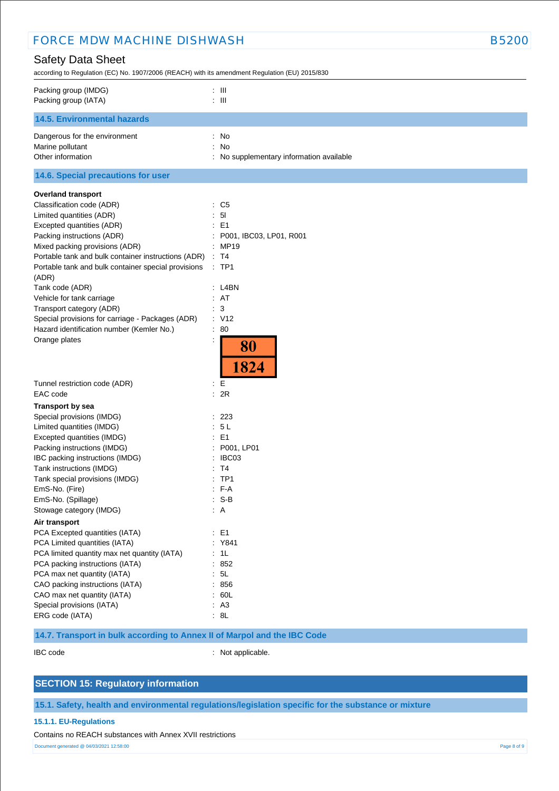| <b>FORCE MDW MACHINE DISHWASH</b>                                                                                                                                                                                                                                                                                                                                                                                                                                                                    |                                                                                                                                               |  |
|------------------------------------------------------------------------------------------------------------------------------------------------------------------------------------------------------------------------------------------------------------------------------------------------------------------------------------------------------------------------------------------------------------------------------------------------------------------------------------------------------|-----------------------------------------------------------------------------------------------------------------------------------------------|--|
| <b>Safety Data Sheet</b><br>according to Regulation (EC) No. 1907/2006 (REACH) with its amendment Regulation (EU) 2015/830                                                                                                                                                                                                                                                                                                                                                                           |                                                                                                                                               |  |
| Packing group (IMDG)<br>Packing group (IATA)                                                                                                                                                                                                                                                                                                                                                                                                                                                         | $\therefore$ $\blacksquare$<br>$\therefore$ III                                                                                               |  |
| <b>14.5. Environmental hazards</b>                                                                                                                                                                                                                                                                                                                                                                                                                                                                   |                                                                                                                                               |  |
| Dangerous for the environment<br>Marine pollutant<br>Other information                                                                                                                                                                                                                                                                                                                                                                                                                               | : No<br>: No<br>: No supplementary information available                                                                                      |  |
| 14.6. Special precautions for user                                                                                                                                                                                                                                                                                                                                                                                                                                                                   |                                                                                                                                               |  |
| <b>Overland transport</b><br>Classification code (ADR)<br>Limited quantities (ADR)<br>Excepted quantities (ADR)<br>Packing instructions (ADR)<br>Mixed packing provisions (ADR)<br>Portable tank and bulk container instructions (ADR)<br>Portable tank and bulk container special provisions<br>(ADR)<br>Tank code (ADR)<br>Vehicle for tank carriage<br>Transport category (ADR)<br>Special provisions for carriage - Packages (ADR)<br>Hazard identification number (Kemler No.)<br>Orange plates | : C5<br>: 51<br>: E1<br>P001, IBC03, LP01, R001<br>: MP19<br>$\therefore$ T4<br>$:$ TP1<br>: L4BN<br>: AT<br>3<br>: V12<br>: 80<br>80<br>1824 |  |
| Tunnel restriction code (ADR)                                                                                                                                                                                                                                                                                                                                                                                                                                                                        | E                                                                                                                                             |  |
| EAC code                                                                                                                                                                                                                                                                                                                                                                                                                                                                                             | : 2R                                                                                                                                          |  |
| <b>Transport by sea</b><br>Special provisions (IMDG)<br>Limited quantities (IMDG)<br>Excepted quantities (IMDG)<br>Packing instructions (IMDG)<br>IBC packing instructions (IMDG)<br>Tank instructions (IMDG)<br>Tank special provisions (IMDG)<br>EmS-No. (Fire)<br>EmS-No. (Spillage)<br>Stowage category (IMDG)                                                                                                                                                                                   | : 223<br>: 5L<br>$E = 1$<br>: P001, LP01<br>: IBC03<br>: T4<br>$:$ TP1<br>$: F-A$<br>$: S-B$<br>$\therefore$ A                                |  |
| Air transport                                                                                                                                                                                                                                                                                                                                                                                                                                                                                        |                                                                                                                                               |  |
| PCA Excepted quantities (IATA)<br>PCA Limited quantities (IATA)<br>PCA limited quantity max net quantity (IATA)<br>PCA packing instructions (IATA)<br>PCA max net quantity (IATA)<br>CAO packing instructions (IATA)<br>CAO max net quantity (IATA)<br>Special provisions (IATA)                                                                                                                                                                                                                     | $\therefore$ E1<br>: Y841<br>: 1L<br>: 852<br>: 5L<br>: 856<br>: 60L<br>: A3                                                                  |  |
| ERG code (IATA)                                                                                                                                                                                                                                                                                                                                                                                                                                                                                      | : 8L                                                                                                                                          |  |

### **14.7. Transport in bulk according to Annex II of Marpol and the IBC Code**

IBC code : Not applicable.

### **SECTION 15: Regulatory information**

### **15.1. Safety, health and environmental regulations/legislation specific for the substance or mixture**

### **15.1.1. EU-Regulations**

Contains no REACH substances with Annex XVII restrictions

Document generated @ 04/03/2021 12:58:00 Page 8 of 9